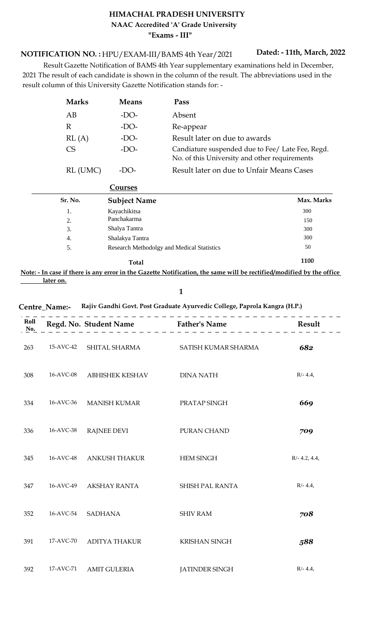## **HIMACHAL PRADESH UNIVERSITY "Exams - III" NAAC Accredited 'A' Grade University**

HPU/EXAM-III/BAMS 4th Year/2021 **NOTIFICATION NO. :**

**Dated: - 11th, March, 2022**

 Result Gazette Notification of BAMS 4th Year supplementary examinations held in December, 2021 The result of each candidate is shown in the column of the result. The abbreviations used in the result column of this University Gazette Notification stands for: -

| <b>Marks</b> | <b>Means</b> | Pass                                                                                              |
|--------------|--------------|---------------------------------------------------------------------------------------------------|
| AВ           | -DO-         | Absent                                                                                            |
| R            | -DO-         | Re-appear                                                                                         |
| RL(A)        | -DO-         | Result later on due to awards                                                                     |
| CS           | -DO-         | Candiature suspended due to Fee/ Late Fee, Regd.<br>No. of this University and other requirements |
| RL (UMC)     | -LX )-       | Result later on due to Unfair Means Cases                                                         |

| Sr. No. | <b>Subject Name</b>                               | Max. Marks |
|---------|---------------------------------------------------|------------|
| 1.      | Kayachikitsa                                      | 300        |
| 2.      | Panchakarma                                       | 150        |
| 3.      | Shalya Tantra                                     | 300        |
| 4.      | Shalakya Tantra                                   | 300        |
| 5.      | <b>Research Methodolgy and Medical Statistics</b> | 50         |
|         | <b>Total</b>                                      | 1100       |

**Note: - In case if there is any error in the Gazette Notification, the same will be rectified/modified by the office later on.**

**1**

**Centre\_Name:- Rajiv Gandhi Govt. Post Graduate Ayurvedic College, Paprola Kangra (H.P.)**

| Roll<br>No. |           | Regd. No. Student Name Father's Name |                       | Result          |
|-------------|-----------|--------------------------------------|-----------------------|-----------------|
| 263         | 15-AVC-42 | SHITAL SHARMA                        | SATISH KUMAR SHARMA   | 682             |
| 308         | 16-AVC-08 | <b>ABHISHEK KESHAV</b>               | <b>DINA NATH</b>      | $R/- 4.4,$      |
| 334         | 16-AVC-36 | <b>MANISH KUMAR</b>                  | PRATAP SINGH          | 669             |
| 336         | 16-AVC-38 | <b>RAJNEE DEVI</b>                   | PURAN CHAND           | 709             |
| 345         | 16-AVC-48 | <b>ANKUSH THAKUR</b>                 | <b>HEM SINGH</b>      | $R/- 4.2, 4.4,$ |
| 347         | 16-AVC-49 | <b>AKSHAY RANTA</b>                  | SHISH PAL RANTA       | $R/- 4.4,$      |
| 352         | 16-AVC-54 | <b>SADHANA</b>                       | <b>SHIV RAM</b>       | 708             |
| 391         | 17-AVC-70 | <b>ADITYA THAKUR</b>                 | KRISHAN SINGH         | 588             |
| 392         | 17-AVC-71 | <b>AMIT GULERIA</b>                  | <b>JATINDER SINGH</b> | $R/- 4.4,$      |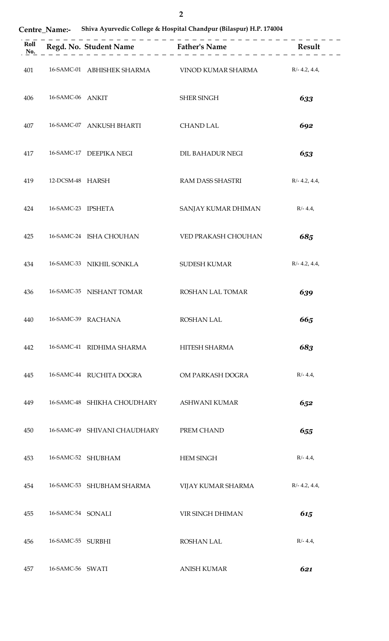| <b>Centre Name:-</b> |  |  |  | <b>Shiva Ayurvedic College &amp; Hospital Chandpur (Bilaspur) H.P. 174004</b> |
|----------------------|--|--|--|-------------------------------------------------------------------------------|
|----------------------|--|--|--|-------------------------------------------------------------------------------|

| 401 |                    |                                           | 16-SAMC-01 ABHISHEK SHARMA VINOD KUMAR SHARMA R/- 4.2, 4.4, |                 |
|-----|--------------------|-------------------------------------------|-------------------------------------------------------------|-----------------|
| 406 | 16-SAMC-06 ANKIT   |                                           | SHER SINGH                                                  | 633             |
| 407 |                    | 16-SAMC-07 ANKUSH BHARTI CHAND LAL        |                                                             | 692             |
| 417 |                    | 16-SAMC-17 DEEPIKA NEGI                   | DIL BAHADUR NEGI                                            | 653             |
| 419 | 12-DCSM-48 HARSH   |                                           | RAM DASS SHASTRI                                            | $R/- 4.2, 4.4,$ |
| 424 | 16-SAMC-23 IPSHETA |                                           | SANJAY KUMAR DHIMAN R/-4.4,                                 |                 |
| 425 |                    | 16-SAMC-24 ISHA CHOUHAN                   | VED PRAKASH CHOUHAN                                         | 685             |
| 434 |                    | 16-SAMC-33 NIKHIL SONKLA                  | SUDESH KUMAR                                                | $R/- 4.2, 4.4,$ |
| 436 |                    | 16-SAMC-35 NISHANT TOMAR ROSHAN LAL TOMAR |                                                             | 639             |
| 440 |                    | 16-SAMC-39 RACHANA                        | <b>ROSHAN LAL</b>                                           | 665             |
| 442 |                    | 16-SAMC-41 RIDHIMA SHARMA                 | HITESH SHARMA                                               | 683             |
| 445 |                    | 16-SAMC-44 RUCHITA DOGRA                  | OM PARKASH DOGRA                                            | $R/- 4.4,$      |
| 449 |                    | 16-SAMC-48 SHIKHA CHOUDHARY               | ASHWANI KUMAR                                               | 652             |
| 450 |                    | 16-SAMC-49 SHIVANI CHAUDHARY              | PREM CHAND                                                  | 655             |
| 453 |                    | 16-SAMC-52 SHUBHAM                        | <b>HEM SINGH</b>                                            | $R/- 4.4,$      |
| 454 |                    | 16-SAMC-53 SHUBHAM SHARMA                 | VIJAY KUMAR SHARMA                                          | $R/- 4.2, 4.4,$ |
| 455 | 16-SAMC-54 SONALI  |                                           | VIR SINGH DHIMAN                                            | 615             |
| 456 | 16-SAMC-55 SURBHI  |                                           | <b>ROSHAN LAL</b>                                           | $R/- 4.4,$      |
| 457 | 16-SAMC-56 SWATI   |                                           | <b>ANISH KUMAR</b>                                          | 621             |